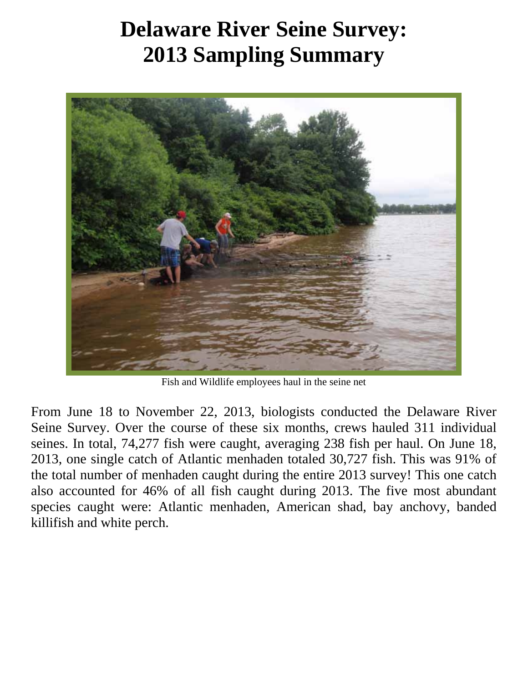## **Delaware River Seine Survey: 2013 Sampling Summary**



Fish and Wildlife employees haul in the seine net

From June 18 to November 22, 2013, biologists conducted the Delaware River Seine Survey. Over the course of these six months, crews hauled 311 individual seines. In total, 74,277 fish were caught, averaging 238 fish per haul. On June 18, 2013, one single catch of Atlantic menhaden totaled 30,727 fish. This was 91% of the total number of menhaden caught during the entire 2013 survey! This one catch also accounted for 46% of all fish caught during 2013. The five most abundant species caught were: Atlantic menhaden, American shad, bay anchovy, banded killifish and white perch.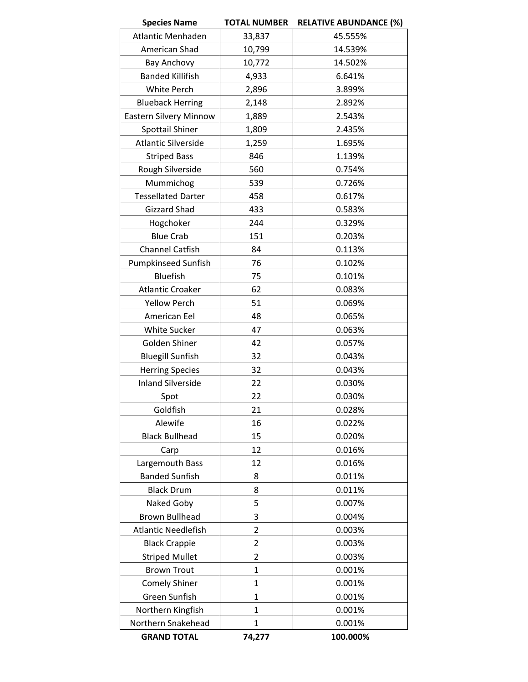| <b>Species Name</b>        | <b>TOTAL NUMBER</b> | <b>RELATIVE ABUNDANCE (%)</b> |
|----------------------------|---------------------|-------------------------------|
| Atlantic Menhaden          | 33,837              | 45.555%                       |
| American Shad              | 10,799              | 14.539%                       |
| Bay Anchovy                | 10,772              | 14.502%                       |
| <b>Banded Killifish</b>    | 4,933               | 6.641%                        |
| White Perch                | 2,896               | 3.899%                        |
| <b>Blueback Herring</b>    | 2,148               | 2.892%                        |
| Eastern Silvery Minnow     | 1,889               | 2.543%                        |
| <b>Spottail Shiner</b>     | 1,809               | 2.435%                        |
| <b>Atlantic Silverside</b> | 1,259               | 1.695%                        |
| <b>Striped Bass</b>        | 846                 | 1.139%                        |
| Rough Silverside           | 560                 | 0.754%                        |
| Mummichog                  | 539                 | 0.726%                        |
| <b>Tessellated Darter</b>  | 458                 | 0.617%                        |
| <b>Gizzard Shad</b>        | 433                 | 0.583%                        |
| Hogchoker                  | 244                 | 0.329%                        |
| <b>Blue Crab</b>           | 151                 | 0.203%                        |
| <b>Channel Catfish</b>     | 84                  | 0.113%                        |
| <b>Pumpkinseed Sunfish</b> | 76                  | 0.102%                        |
| <b>Bluefish</b>            | 75                  | 0.101%                        |
| <b>Atlantic Croaker</b>    | 62                  | 0.083%                        |
| <b>Yellow Perch</b>        | 51                  | 0.069%                        |
| American Eel               | 48                  | 0.065%                        |
| White Sucker               | 47                  | 0.063%                        |
| Golden Shiner              | 42                  | 0.057%                        |
| <b>Bluegill Sunfish</b>    | 32                  | 0.043%                        |
| <b>Herring Species</b>     | 32                  | 0.043%                        |
| <b>Inland Silverside</b>   | 22                  | 0.030%                        |
| Spot                       | 22                  | 0.030%                        |
| Goldfish                   | 21                  | 0.028%                        |
| Alewife                    | 16                  | 0.022%                        |
| <b>Black Bullhead</b>      | 15                  | 0.020%                        |
| Carp                       | 12                  | 0.016%                        |
| Largemouth Bass            | 12                  | 0.016%                        |
| <b>Banded Sunfish</b>      | 8                   | 0.011%                        |
| <b>Black Drum</b>          | 8                   | 0.011%                        |
| Naked Goby                 | 5                   | 0.007%                        |
| <b>Brown Bullhead</b>      | 3                   | 0.004%                        |
| <b>Atlantic Needlefish</b> | $\overline{2}$      | 0.003%                        |
| <b>Black Crappie</b>       | $\overline{2}$      | 0.003%                        |
| <b>Striped Mullet</b>      | $\overline{2}$      | 0.003%                        |
| <b>Brown Trout</b>         | $\mathbf{1}$        | 0.001%                        |
| <b>Comely Shiner</b>       | $\overline{1}$      | 0.001%                        |
| Green Sunfish              | 1                   | 0.001%                        |
| Northern Kingfish          | $\mathbf{1}$        | 0.001%                        |
| Northern Snakehead         | $\mathbf{1}$        | 0.001%                        |
| <b>GRAND TOTAL</b>         | 74,277              | 100.000%                      |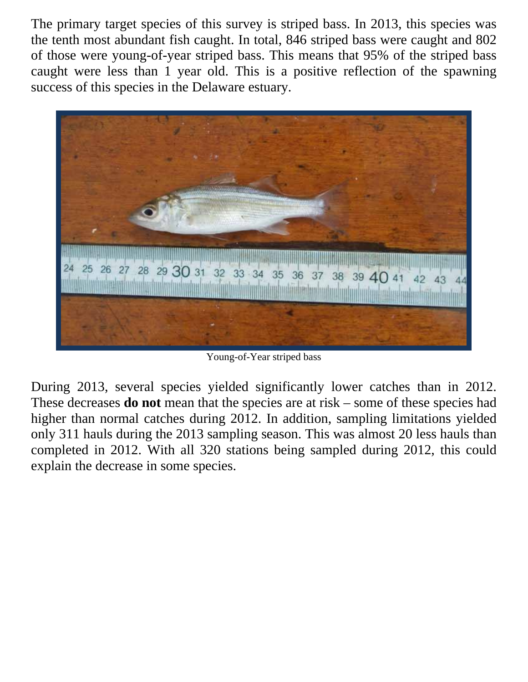The primary target species of this survey is striped bass. In 2013, this species was the tenth most abundant fish caught. In total, 846 striped bass were caught and 802 of those were young-of-year striped bass. This means that 95% of the striped bass caught were less than 1 year old. This is a positive reflection of the spawning success of this species in the Delaware estuary.



Young-of-Year striped bass

During 2013, several species yielded significantly lower catches than in 2012. These decreases **do not** mean that the species are at risk – some of these species had higher than normal catches during 2012. In addition, sampling limitations yielded only 311 hauls during the 2013 sampling season. This was almost 20 less hauls than completed in 2012. With all 320 stations being sampled during 2012, this could explain the decrease in some species.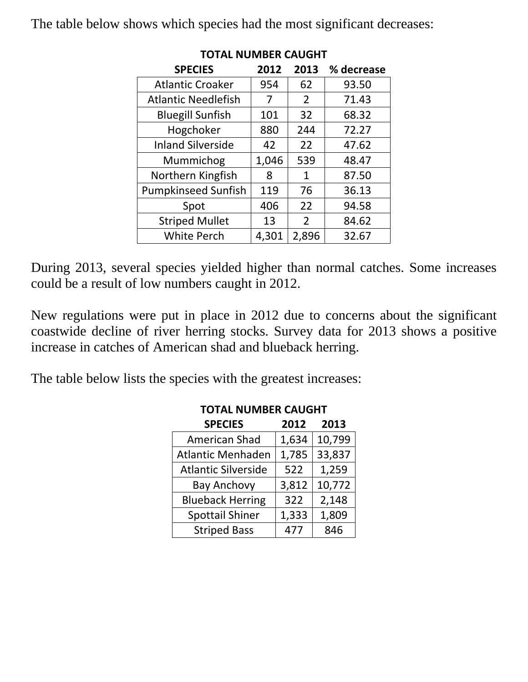The table below shows which species had the most significant decreases:

| <b>SPECIES</b>             | 2012  | 2013           | % decrease |  |  |  |
|----------------------------|-------|----------------|------------|--|--|--|
| <b>Atlantic Croaker</b>    | 954   | 62             | 93.50      |  |  |  |
| <b>Atlantic Needlefish</b> | 7     | $\overline{2}$ | 71.43      |  |  |  |
| <b>Bluegill Sunfish</b>    | 101   | 32             | 68.32      |  |  |  |
| Hogchoker                  | 880   | 244            | 72.27      |  |  |  |
| <b>Inland Silverside</b>   | 42    | 22             | 47.62      |  |  |  |
| Mummichog                  | 1,046 | 539            | 48.47      |  |  |  |
| Northern Kingfish          | 8     | 1              | 87.50      |  |  |  |
| <b>Pumpkinseed Sunfish</b> | 119   | 76             | 36.13      |  |  |  |
| Spot                       | 406   | 22             | 94.58      |  |  |  |
| <b>Striped Mullet</b>      | 13    | $\overline{2}$ | 84.62      |  |  |  |
| <b>White Perch</b>         | 4,301 | 2,896          | 32.67      |  |  |  |

## **TOTAL NUMBER CAUGHT**

During 2013, several species yielded higher than normal catches. Some increases could be a result of low numbers caught in 2012.

New regulations were put in place in 2012 due to concerns about the significant coastwide decline of river herring stocks. Survey data for 2013 shows a positive increase in catches of American shad and blueback herring.

The table below lists the species with the greatest increases:

| DIVIDEN CAOQITI            |       |        |  |  |
|----------------------------|-------|--------|--|--|
| <b>SPECIES</b>             | 2012  | 2013   |  |  |
| <b>American Shad</b>       | 1,634 | 10,799 |  |  |
| <b>Atlantic Menhaden</b>   | 1,785 | 33,837 |  |  |
| <b>Atlantic Silverside</b> | 522   | 1,259  |  |  |
| <b>Bay Anchovy</b>         | 3,812 | 10,772 |  |  |
| <b>Blueback Herring</b>    | 322   | 2,148  |  |  |
| <b>Spottail Shiner</b>     | 1,333 | 1,809  |  |  |
| <b>Striped Bass</b>        | 477   | 846    |  |  |

**TOTAL NUMBER CAUGHT**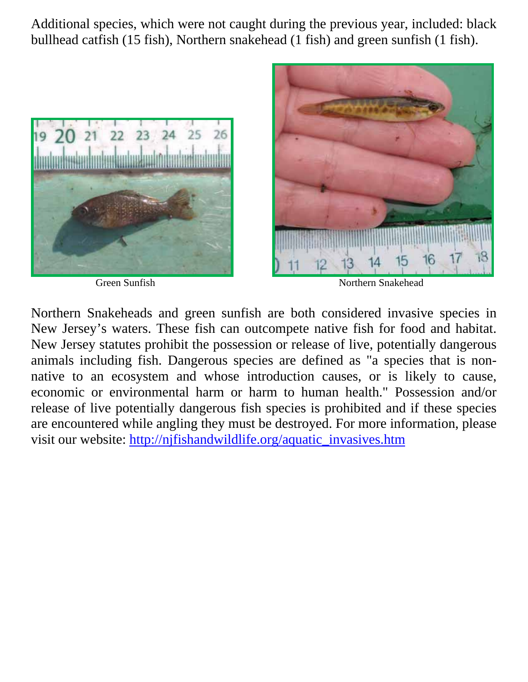Additional species, which were not caught during the previous year, included: black bullhead catfish (15 fish), Northern snakehead (1 fish) and green sunfish (1 fish).





Green Sunfish Northern Snakehead

Northern Snakeheads and green sunfish are both considered invasive species in New Jersey's waters. These fish can outcompete native fish for food and habitat. New Jersey statutes prohibit the possession or release of live, potentially dangerous animals including fish. Dangerous species are defined as "a species that is nonnative to an ecosystem and whose introduction causes, or is likely to cause, economic or environmental harm or harm to human health." Possession and/or release of live potentially dangerous fish species is prohibited and if these species are encountered while angling they must be destroyed. For more information, please visit our website: http://njfishandwildlife.org/aquatic\_invasives.htm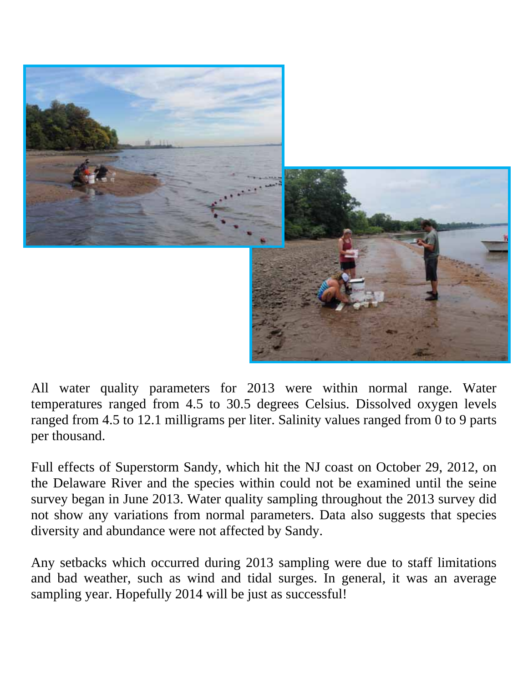

All water quality parameters for 2013 were within normal range. Water temperatures ranged from 4.5 to 30.5 degrees Celsius. Dissolved oxygen levels ranged from 4.5 to 12.1 milligrams per liter. Salinity values ranged from 0 to 9 parts per thousand.

Full effects of Superstorm Sandy, which hit the NJ coast on October 29, 2012, on the Delaware River and the species within could not be examined until the seine survey began in June 2013. Water quality sampling throughout the 2013 survey did not show any variations from normal parameters. Data also suggests that species diversity and abundance were not affected by Sandy.

Any setbacks which occurred during 2013 sampling were due to staff limitations and bad weather, such as wind and tidal surges. In general, it was an average sampling year. Hopefully 2014 will be just as successful!